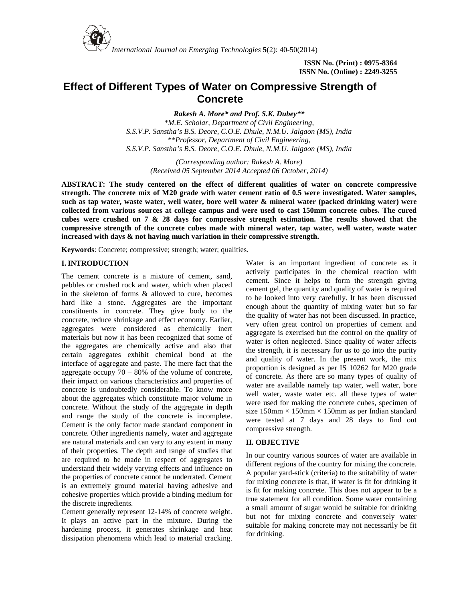

*International Journal on Emerging Technologies* **5**(2): 40-50(2014)

# **Effect of Different Types of Water on Compressive Strength of Concrete**

*Rakesh A. More\* and Prof. S.K. Dubey\*\* \*M.E. Scholar, Department of Civil Engineering, S.S.V.P. Sanstha's B.S. Deore, C.O.E. Dhule, N.M.U. Jalgaon (MS), India \*\*Professor, Department of Civil Engineering, S.S.V.P. Sanstha's B.S. Deore, C.O.E. Dhule, N.M.U. Jalgaon (MS), India*

> *(Corresponding author: Rakesh A. More) (Received 05 September 2014 Accepted 06 October, 2014)*

**ABSTRACT: The study centered on the effect of different qualities of water on concrete compressive strength. The concrete mix of M20 grade with water cement ratio of 0.5 were investigated. Water samples, such as tap water, waste water, well water, bore well water & mineral water (packed drinking water) were collected from various sources at college campus and were used to cast 150mm concrete cubes. The cured cubes were crushed on 7 & 28 days for compressive strength estimation. The results showed that the compressive strength of the concrete cubes made with mineral water, tap water, well water, waste water increased with days & not having much variation in their compressive strength.**

**Keywords**: Concrete; compressive; strength; water; qualities.

## **I. INTRODUCTION**

The cement concrete is a mixture of cement, sand, pebbles or crushed rock and water, which when placed in the skeleton of forms & allowed to cure, becomes hard like a stone. Aggregates are the important constituents in concrete. They give body to the concrete, reduce shrinkage and effect economy. Earlier, aggregates were considered as chemically inert materials but now it has been recognized that some of the aggregates are chemically active and also that certain aggregates exhibit chemical bond at the interface of aggregate and paste. The mere fact that the aggregate occupy  $70 - 80\%$  of the volume of concrete, their impact on various characteristics and properties of concrete is undoubtedly considerable. To know more about the aggregates which constitute major volume in concrete. Without the study of the aggregate in depth and range the study of the concrete is incomplete. Cement is the only factor made standard component in concrete. Other ingredients namely, water and aggregate are natural materials and can vary to any extent in many of their properties. The depth and range of studies that are required to be made in respect of aggregates to understand their widely varying effects and influence on the properties of concrete cannot be underrated. Cement is an extremely ground material having adhesive and cohesive properties which provide a binding medium for the discrete ingredients.

Cement generally represent 12-14% of concrete weight. It plays an active part in the mixture. During the hardening process, it generates shrinkage and heat dissipation phenomena which lead to material cracking.

Water is an important ingredient of concrete as it actively participates in the chemical reaction with cement. Since it helps to form the strength giving cement gel, the quantity and quality of water is required to be looked into very carefully. It has been discussed enough about the quantity of mixing water but so far the quality of water has not been discussed. In practice, very often great control on properties of cement and aggregate is exercised but the control on the quality of water is often neglected. Since quality of water affects the strength, it is necessary for us to go into the purity and quality of water. In the present work, the mix proportion is designed as per IS 10262 for M20 grade of concrete. As there are so many types of quality of water are available namely tap water, well water, bore well water, waste water etc. all these types of water were used for making the concrete cubes, specimen of size  $150 \text{mm} \times 150 \text{mm} \times 150 \text{mm}$  as per Indian standard were tested at 7 days and 28 days to find out compressive strength.

# **II***.* **OBJECTIVE**

In our country various sources of water are available in different regions of the country for mixing the concrete. A popular yard-stick (criteria) to the suitability of water for mixing concrete is that, if water is fit for drinking it is fit for making concrete. This does not appear to be a true statement for all condition. Some water containing a small amount of sugar would be suitable for drinking but not for mixing concrete and conversely water suitable for making concrete may not necessarily be fit for drinking.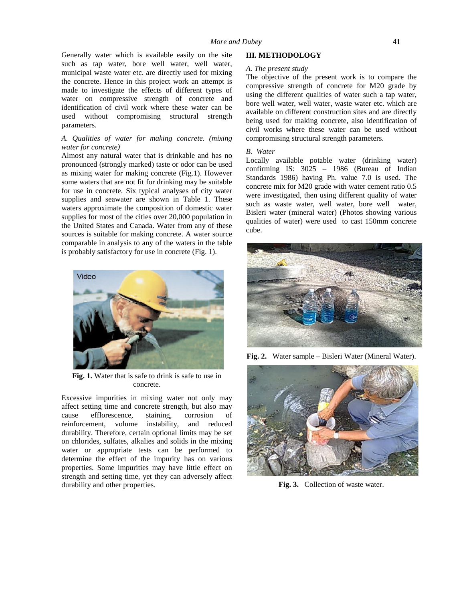Generally water which is available easily on the site such as tap water, bore well water, well water, municipal waste water etc. are directly used for mixing the concrete. Hence in this project work an attempt is made to investigate the effects of different types of water on compressive strength of concrete and identification of civil work where these water can be used without compromising structural strength parameters.

### *A. Qualities of water for making concrete. (mixing water for concrete)*

Almost any natural water that is drinkable and has no pronounced (strongly marked) taste or odor can be used as mixing water for making concrete (Fig.1). However some waters that are not fit for drinking may be suitable for use in concrete. Six typical analyses of city water supplies and seawater are shown in Table 1. These waters approximate the composition of domestic water supplies for most of the cities over 20,000 population in the United States and Canada. Water from any of these sources is suitable for making concrete. A water source comparable in analysis to any of the waters in the table is probably satisfactory for use in concrete (Fig. 1).



**Fig. 1.** Water that is safe to drink is safe to use in concrete.

Excessive impurities in mixing water not only may affect setting time and concrete strength, but also may cause efflorescence, staining, corrosion of reinforcement, volume instability, and reduced durability. Therefore, certain optional limits may be set on chlorides, sulfates, alkalies and solids in the mixing water or appropriate tests can be performed to determine the effect of the impurity has on various properties. Some impurities may have little effect on strength and setting time, yet they can adversely affect durability and other properties.

#### **III. METHODOLOGY**

### *A. The present study*

The objective of the present work is to compare the compressive strength of concrete for M20 grade by using the different qualities of water such a tap water, bore well water, well water, waste water etc. which are available on different construction sites and are directly being used for making concrete, also identification of civil works where these water can be used without compromising structural strength parameters.

#### *B. Water*

Locally available potable water (drinking water) confirming IS: 3025 – 1986 (Bureau of Indian Standards 1986) having Ph. value 7.0 is used. The concrete mix for M20 grade with water cement ratio 0.5 were investigated, then using different quality of water such as waste water, well water, bore well water, Bisleri water (mineral water) (Photos showing various qualities of water) were used to cast 150mm concrete cube.



**Fig. 2.** Water sample – Bisleri Water (Mineral Water).



**Fig. 3.** Collection of waste water.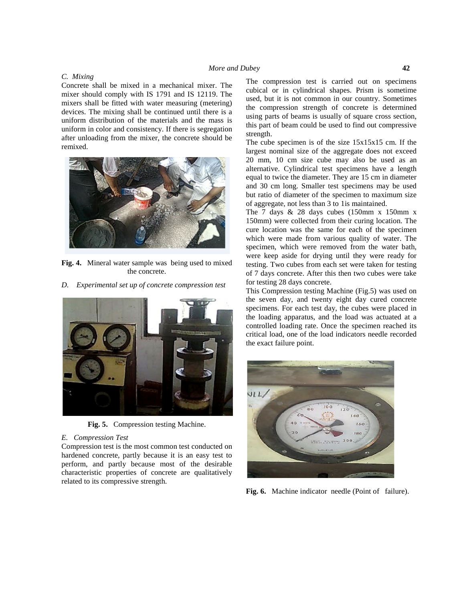### *More and Dubey* **42**

#### *C. Mixing*

Concrete shall be mixed in a mechanical mixer. The mixer should comply with IS 1791 and IS 12119. The mixers shall be fitted with water measuring (metering) devices. The mixing shall be continued until there is a uniform distribution of the materials and the mass is uniform in color and consistency. If there is segregation after unloading from the mixer, the concrete should be remixed.



**Fig. 4.** Mineral water sample was being used to mixed the concrete.

*D. Experimental set up of concrete compression test*



**Fig. 5.** Compression testing Machine.

#### *E. Compression Test*

Compression test is the most common test conducted on hardened concrete, partly because it is an easy test to perform, and partly because most of the desirable characteristic properties of concrete are qualitatively related to its compressive strength.

The compression test is carried out on specimens cubical or in cylindrical shapes. Prism is sometime used, but it is not common in our country. Sometimes the compression strength of concrete is determined using parts of beams is usually of square cross section, this part of beam could be used to find out compressive strength.

The cube specimen is of the size 15x15x15 cm. If the largest nominal size of the aggregate does not exceed 20 mm, 10 cm size cube may also be used as an alternative. Cylindrical test specimens have a length equal to twice the diameter. They are 15 cm in diameter and 30 cm long. Smaller test specimens may be used but ratio of diameter of the specimen to maximum size of aggregate, not less than 3 to 1is maintained.

The 7 days  $& 28$  days cubes (150mm x 150mm x 150mm) were collected from their curing location. The cure location was the same for each of the specimen which were made from various quality of water. The specimen, which were removed from the water bath, were keep aside for drying until they were ready for testing. Two cubes from each set were taken for testing of 7 days concrete. After this then two cubes were take for testing 28 days concrete.

This Compression testing Machine (Fig.5) was used on the seven day, and twenty eight day cured concrete specimens. For each test day, the cubes were placed in the loading apparatus, and the load was actuated at a controlled loading rate. Once the specimen reached its critical load, one of the load indicators needle recorded the exact failure point.



**Fig. 6.** Machine indicator needle (Point of failure).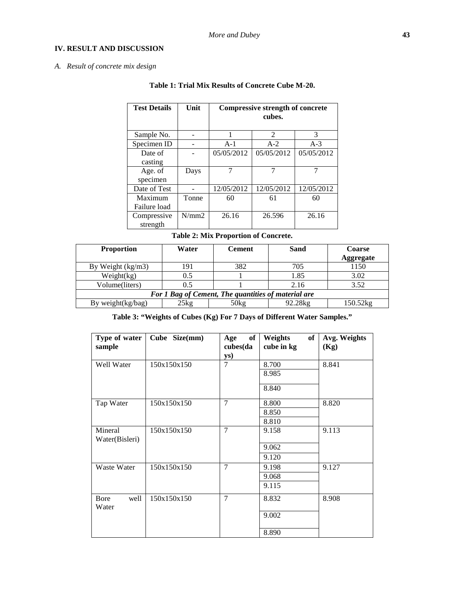# **IV. RESULT AND DISCUSSION**

# *A. Result of concrete mix design*

| <b>Test Details</b> | Unit  |            | Compressive strength of concrete<br>cubes. |            |  |  |  |
|---------------------|-------|------------|--------------------------------------------|------------|--|--|--|
| Sample No.          |       |            | $\mathcal{D}_{\mathcal{L}}$                | 3          |  |  |  |
| Specimen ID         |       | $A-1$      | $A-2$                                      | $A-3$      |  |  |  |
| Date of             |       | 05/05/2012 | 05/05/2012                                 | 05/05/2012 |  |  |  |
| casting             |       |            |                                            |            |  |  |  |
| Age. of             | Days  |            | 7                                          |            |  |  |  |
| specimen            |       |            |                                            |            |  |  |  |
| Date of Test        |       | 12/05/2012 | 12/05/2012                                 | 12/05/2012 |  |  |  |
| Maximum             | Tonne | 60         | 61                                         | 60         |  |  |  |
| Failure load        |       |            |                                            |            |  |  |  |
| Compressive         | N/mm2 | 26.16      | 26.596                                     | 26.16      |  |  |  |
| strength            |       |            |                                            |            |  |  |  |

# **Table 1: Trial Mix Results of Concrete Cube M-20.**

# **Table 2: Mix Proportion of Concrete.**

| <b>Proportion</b>                                   | Water         | <b>Cement</b> | Sand    | <b>Coarse</b><br><b>Aggregate</b> |  |  |  |  |
|-----------------------------------------------------|---------------|---------------|---------|-----------------------------------|--|--|--|--|
| By Weight $(kg/m3)$                                 | 191           | 382           | 705     | 1150                              |  |  |  |  |
| Weight(kg)                                          | 0.5           |               | 1.85    | 3.02                              |  |  |  |  |
| Volume(liters)                                      | 0.5           |               | 2.16    | 3.52                              |  |  |  |  |
| For 1 Bag of Cement, The quantities of material are |               |               |         |                                   |  |  |  |  |
| By weight $(kg/bag)$                                | $25\text{kg}$ | 50kg          | 92.28kg | 150.52kg                          |  |  |  |  |

**Table 3: "Weights of Cubes (Kg) For 7 Days of Different Water Samples."**

| Type of water<br>sample   | Cube Size(mm) | of<br>Age<br>cubes(da<br>ys) | of<br>Weights<br>cube in kg | Avg. Weights<br>(Kg) |
|---------------------------|---------------|------------------------------|-----------------------------|----------------------|
| Well Water                | 150x150x150   | 7                            | 8.700<br>8.985<br>8.840     | 8.841                |
| Tap Water                 | 150x150x150   | $\overline{7}$               | 8.800<br>8.850<br>8.810     | 8.820                |
| Mineral<br>Water(Bisleri) | 150x150x150   | $\overline{7}$               | 9.158<br>9.062<br>9.120     | 9.113                |
| Waste Water               | 150x150x150   | $\overline{7}$               | 9.198<br>9.068<br>9.115     | 9.127                |
| well<br>Bore<br>Water     | 150x150x150   | $\overline{7}$               | 8.832<br>9.002<br>8.890     | 8.908                |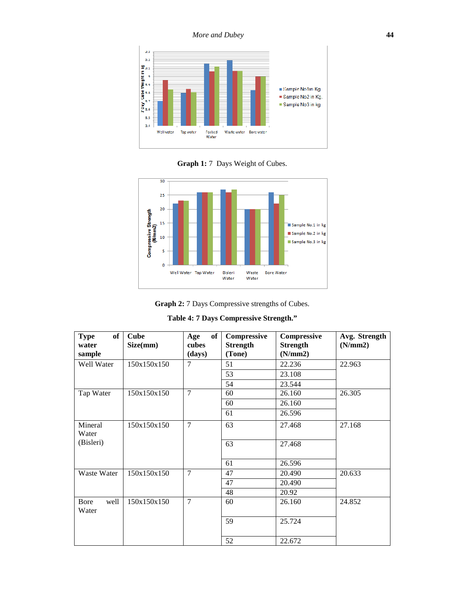

**Graph 1:** 7 Days Weight of Cubes.



**Graph 2:** 7 Days Compressive strengths of Cubes.

| Table 4: 7 Days Compressive Strength." |  |  |  |  |  |
|----------------------------------------|--|--|--|--|--|
|----------------------------------------|--|--|--|--|--|

| of<br><b>Type</b><br>water<br>sample | <b>Cube</b><br>Size(mm) | of<br>Age<br>cubes<br>(days) | Compressive<br><b>Strength</b><br>(Tone) | Compressive<br><b>Strength</b><br>(N/mm2) | Avg. Strength<br>(N/mm2) |
|--------------------------------------|-------------------------|------------------------------|------------------------------------------|-------------------------------------------|--------------------------|
| Well Water                           | 150x150x150             | $\overline{7}$               | 51                                       | 22.236                                    | 22.963                   |
|                                      |                         |                              | 53                                       | 23.108                                    |                          |
|                                      |                         |                              | 54                                       | 23.544                                    |                          |
| Tap Water                            | 150x150x150             | $\overline{7}$               | 60                                       | 26.160                                    | 26.305                   |
|                                      |                         |                              | 60                                       | 26.160                                    |                          |
|                                      |                         |                              | 61                                       | 26.596                                    |                          |
| Mineral<br>Water                     | 150x150x150             | $\overline{7}$               | 63                                       | 27.468                                    | 27.168                   |
| (Bisleri)                            |                         |                              | 63                                       | 27.468                                    |                          |
|                                      |                         |                              | 61                                       | 26.596                                    |                          |
| Waste Water                          | 150x150x150             | $\tau$                       | 47                                       | 20.490                                    | 20.633                   |
|                                      |                         |                              | 47                                       | 20.490                                    |                          |
|                                      |                         |                              | 48                                       | 20.92                                     |                          |
| Bore<br>well<br>Water                | 150x150x150             | $\overline{7}$               | 60                                       | 26.160                                    | 24.852                   |
|                                      |                         |                              | 59                                       | 25.724                                    |                          |
|                                      |                         |                              | 52                                       | 22.672                                    |                          |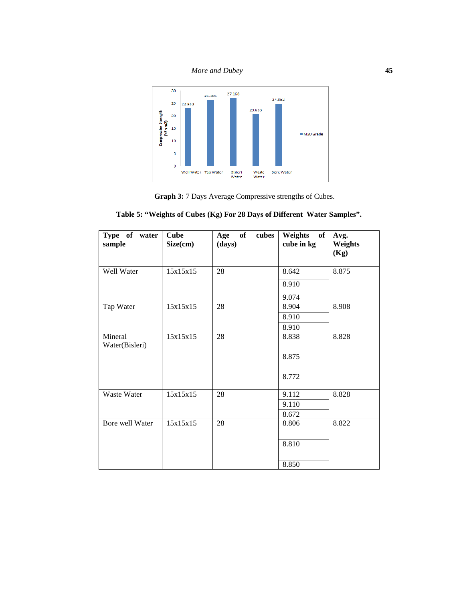

**Graph 3:** 7 Days Average Compressive strengths of Cubes.

|  |  | Table 5: "Weights of Cubes (Kg) For 28 Days of Different Water Samples". |  |
|--|--|--------------------------------------------------------------------------|--|
|  |  |                                                                          |  |

| Type of water<br>sample   | <b>Cube</b><br>Size(cm) | of<br>Age<br>cubes<br>(days) | Weights<br>of<br>cube in kg | Avg.<br>Weights<br>(Kg) |
|---------------------------|-------------------------|------------------------------|-----------------------------|-------------------------|
| Well Water                | 15x15x15                | 28                           | 8.642                       | 8.875                   |
|                           |                         |                              | 8.910                       |                         |
|                           |                         |                              | 9.074                       |                         |
| Tap Water                 | 15x15x15                | 28                           | 8.904                       | 8.908                   |
|                           |                         |                              | 8.910                       |                         |
|                           |                         |                              | 8.910                       |                         |
| Mineral<br>Water(Bisleri) | 15x15x15                | 28                           | 8.838                       | 8.828                   |
|                           |                         |                              | 8.875                       |                         |
|                           |                         |                              | 8.772                       |                         |
| Waste Water               | 15x15x15                | 28                           | 9.112                       | 8.828                   |
|                           |                         |                              | 9.110                       |                         |
|                           |                         |                              | 8.672                       |                         |
| Bore well Water           | 15x15x15                | 28                           | 8.806                       | 8.822                   |
|                           |                         |                              | 8.810                       |                         |
|                           |                         |                              | 8.850                       |                         |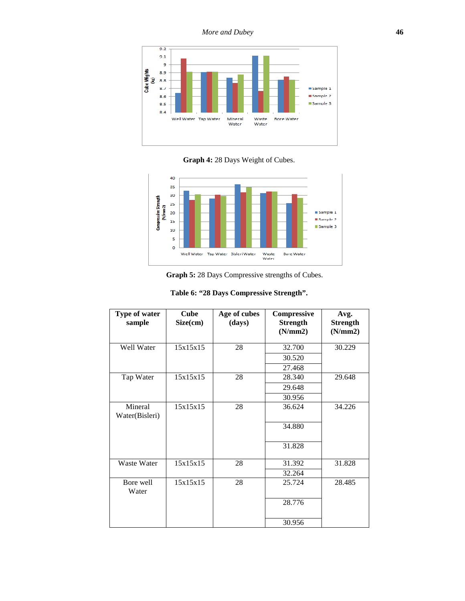*More and Dubey* **46**



**Graph 4:** 28 Days Weight of Cubes.



**Graph 5:** 28 Days Compressive strengths of Cubes.

| Type of water<br>sample   | <b>Cube</b><br>Size(cm) | Age of cubes<br>(days) | Compressive<br><b>Strength</b><br>(N/mm2) | Avg.<br><b>Strength</b><br>(N/mm2) |
|---------------------------|-------------------------|------------------------|-------------------------------------------|------------------------------------|
| Well Water                | 15x15x15                | 28                     | 32.700                                    | 30.229                             |
|                           |                         |                        | 30.520                                    |                                    |
|                           |                         |                        | 27.468                                    |                                    |
| Tap Water                 | 15x15x15                | 28                     | 28.340                                    | 29.648                             |
|                           |                         |                        | 29.648                                    |                                    |
|                           |                         |                        | 30.956                                    |                                    |
| Mineral<br>Water(Bisleri) | 15x15x15                | 28                     | 36.624                                    | 34.226                             |
|                           |                         |                        | 34.880                                    |                                    |
|                           |                         |                        | 31.828                                    |                                    |
| Waste Water               | 15x15x15                | 28                     | 31.392                                    | 31.828                             |
|                           |                         |                        | 32.264                                    |                                    |
| Bore well<br>Water        | 15x15x15                | 28                     | 25.724                                    | 28.485                             |
|                           |                         |                        | 28.776                                    |                                    |
|                           |                         |                        | 30.956                                    |                                    |

|  | Table 6: "28 Days Compressive Strength". |  |
|--|------------------------------------------|--|
|  |                                          |  |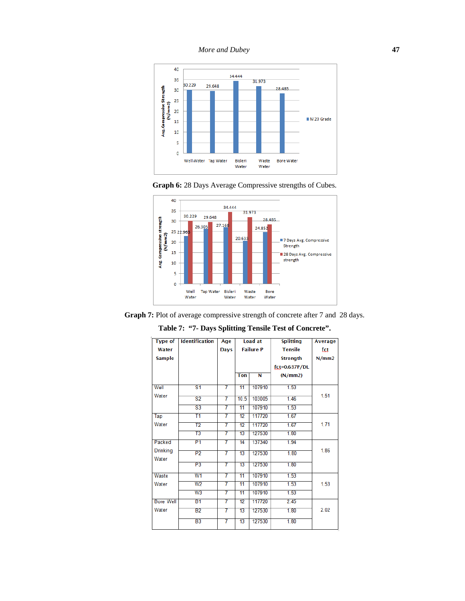







**Table 7: "7- Days Splitting Tensile Test of Concrete".**

| <b>Type of</b>   | <b>Identification</b>     | Age         |                 | <b>Load at</b>   | <b>Splitting</b> | <b>Average</b> |
|------------------|---------------------------|-------------|-----------------|------------------|------------------|----------------|
| Water            |                           | <b>Days</b> |                 | <b>Failure P</b> | <b>Tensile</b>   | fct            |
| <b>Sample</b>    |                           |             |                 |                  | <b>Strength</b>  | N/mm2          |
|                  |                           |             |                 |                  | fct=0.637P/DL    |                |
|                  |                           |             | <b>Ton</b>      | Ñ                | (N/mm 2)         |                |
| Well             | $\overline{\mathbf{s}}$ 1 | 7           | 11              | 107910           | 1.53             |                |
| Water            |                           |             |                 |                  |                  | 1.51           |
|                  | $\overline{\mathbf{S2}}$  | 7           | 10.5            | 103005           | 1.46             |                |
|                  | $\overline{\text{S3}}$    | 7           | $\overline{11}$ | 107910           | 1.53             |                |
| Tap              | T1                        | 7           | 12              | 117720           | 1.67             |                |
| Water            | $\overline{12}$           | 7           | $\overline{12}$ | 117720           | 1.67             | 1.71           |
|                  | T3                        | 7           | 13              | 127530           | 1.80             |                |
| Packed           | P <sub>1</sub>            | 7           | $\overline{14}$ | 137340           | 1.94             |                |
| <b>Drinking</b>  | P2                        | 7           | $\overline{13}$ | 127530           | 1.80             | 1.86           |
| Water            |                           |             |                 |                  |                  |                |
|                  | P3                        | 7           | $\overline{13}$ | 127530           | 1.80             |                |
| Waste            | W <sub>1</sub>            | 7           | 11              | 107910           | 1.53             |                |
| Water            | W <sub>2</sub>            | 7           | 11              | 107910           | 1.53             | 1.53           |
|                  | W3                        | 7           | 11              | 107910           | 1.53             |                |
| <b>Bore Well</b> | B1                        | 7           | 12              | 117720           | 2.45             |                |
| Water            | B2                        | 7           | $\overline{13}$ | 127530           | 1.80             | 2.02           |
|                  | $\overline{B3}$           | 7           | 13              | 127530           | 1.80             |                |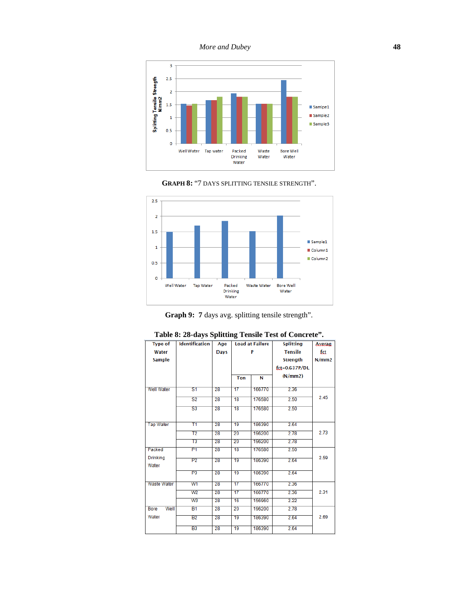



**GRAPH 8:** "7 DAYS SPLITTING TENSILE STRENGTH".

**Graph 9: 7** days avg. splitting tensile strength".

| <b>Type of</b>      | <b>Identification</b><br>Age |             |                 | <b>Load at Failure</b> | <b>Splitting</b>  | <b>Averag</b> |
|---------------------|------------------------------|-------------|-----------------|------------------------|-------------------|---------------|
| Water               |                              | <b>Days</b> |                 | P                      | <b>Tensile</b>    | fct           |
| <b>Sample</b>       |                              |             |                 |                        | <b>Strength</b>   | N/mm2         |
|                     |                              |             |                 |                        | $fct = 0.637P/DL$ |               |
|                     |                              |             | <b>Ton</b>      | N                      | (N/mm 2)          |               |
|                     |                              |             |                 |                        |                   |               |
| Well Water          | S <sub>1</sub>               | 28          | 17              | 166770                 | 2.36              |               |
|                     | S <sub>2</sub>               | 28          | 18              | 176580                 | 2.50              | 2.45          |
|                     | $\overline{\mathsf{S3}}$     | 28          | $\overline{18}$ | 176580                 | 2.50              |               |
|                     |                              |             |                 |                        |                   |               |
| <b>Tap Water</b>    | T1                           | 28          | 19              | 186390                 | 2.64              |               |
|                     | T2                           | 28          | 20              | 196200                 | 2.78              | 2.73          |
|                     | T3                           | 28          | 20              | 196200                 | 2.78              |               |
| Packed              | P1                           | 28          | 18              | 176580                 | 2.50              |               |
| <b>Drinking</b>     | P <sub>2</sub>               | 28          | 19              | 186390                 | 2.64              | 2.59          |
| Water               |                              |             |                 |                        |                   |               |
|                     | P3                           | 28          | 19              | 186390                 | 2.64              |               |
| Waste Water         | W <sub>1</sub>               | 28          | 17              | 166770                 | 2.36              |               |
|                     | W <sub>2</sub>               | 28          | $\overline{17}$ | 166770                 | 2.36              | 2.31          |
|                     | W <sub>3</sub>               | 28          | 16              | 156960                 | 2.22              |               |
| <b>Bore</b><br>Well | <b>B1</b>                    | 28          | 20              | 196200                 | 2.78              |               |
| Water               | <b>B2</b>                    | 28          | 19              | 186390                 | 2.64              | 2.69          |
|                     | B <sub>3</sub>               | 28          | 19              | 186390                 | 2.64              |               |
|                     |                              |             |                 |                        |                   |               |

|  |  | Table 8: 28-days Splitting Tensile Test of Concrete". |  |
|--|--|-------------------------------------------------------|--|
|  |  |                                                       |  |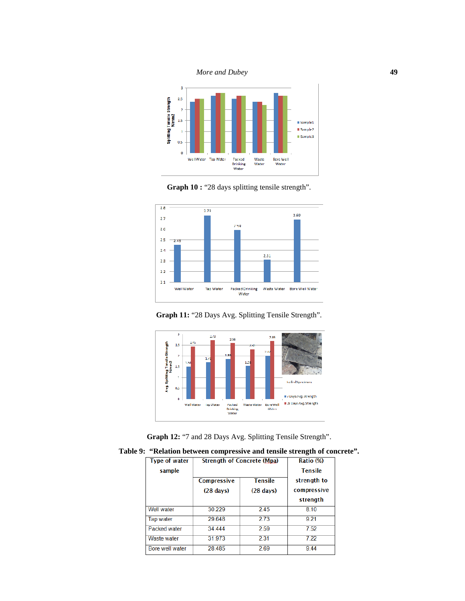









**Graph 12:**"7 and 28 Days Avg. Splitting Tensile Strength".

**Table 9: "Relation between compressive and tensile strength of concrete".**

| <b>Type of water</b><br>sample | <b>Strength of Concrete (Mpa)</b> |                     | Ratio (%)<br><b>Tensile</b> |
|--------------------------------|-----------------------------------|---------------------|-----------------------------|
|                                | Compressive                       | <b>Tensile</b>      | strength to                 |
|                                | $(28 \text{ days})$               | $(28 \text{ days})$ | compressive                 |
|                                |                                   |                     | strength                    |
| <b>Well</b> water              | 30.229                            | 2.45                | 8.10                        |
| Tap water                      | 29.648                            | 2.73                | 9.21                        |
| <b>Packed water</b>            | 34.444                            | 2.59                | 7.52                        |
| <b>Waste water</b>             | 31.973                            | 2.31                | 7.22                        |
| Bore well water                | 28.485                            | 2.69                | 9.44                        |